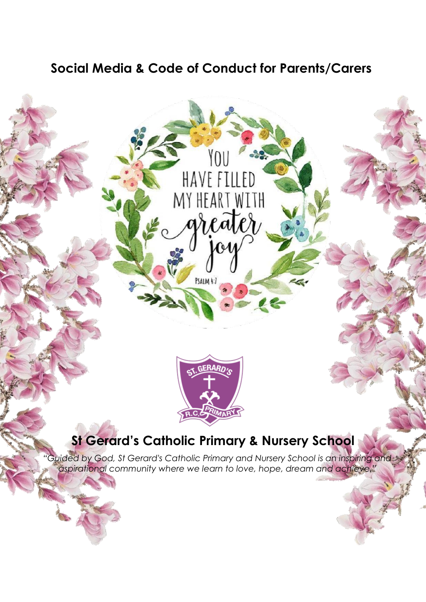# **Social Media & Code of Conduct for Parents/Carers**

HAVE FILLED

MY HEART WITH

PSALM 4:7



# **St Gerard's Catholic Primary & Nursery School**

*"Guided by God, St Gerard's Catholic Primary and Nursery School is an inspiring and aspirational community where we learn to love, hope, dream and achieve."*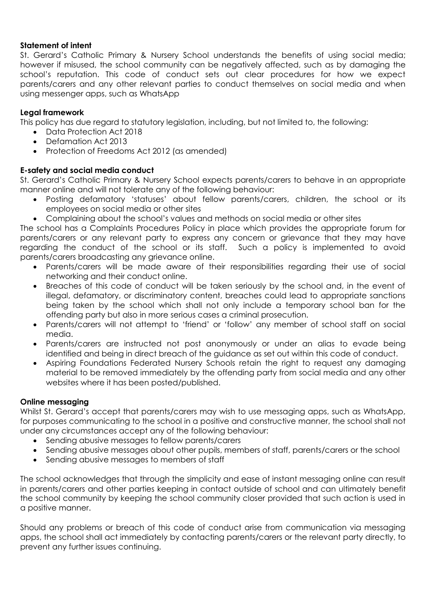#### **Statement of intent**

St. Gerard's Catholic Primary & Nursery School understands the benefits of using social media; however if misused, the school community can be negatively affected, such as by damaging the school's reputation. This code of conduct sets out clear procedures for how we expect parents/carers and any other relevant parties to conduct themselves on social media and when using messenger apps, such as WhatsApp

### **Legal framework**

This policy has due regard to statutory legislation, including, but not limited to, the following:

- Data Protection Act 2018
- Defamation Act 2013
- Protection of Freedoms Act 2012 (as amended)

### **E-safety and social media conduct**

St. Gerard's Catholic Primary & Nursery School expects parents/carers to behave in an appropriate manner online and will not tolerate any of the following behaviour:

- Posting defamatory 'statuses' about fellow parents/carers, children, the school or its employees on social media or other sites
- Complaining about the school's values and methods on social media or other sites

The school has a Complaints Procedures Policy in place which provides the appropriate forum for parents/carers or any relevant party to express any concern or grievance that they may have regarding the conduct of the school or its staff. Such a policy is implemented to avoid parents/carers broadcasting any grievance online.

- Parents/carers will be made aware of their responsibilities regarding their use of social networking and their conduct online.
- Breaches of this code of conduct will be taken seriously by the school and, in the event of illegal, defamatory, or discriminatory content, breaches could lead to appropriate sanctions being taken by the school which shall not only include a temporary school ban for the offending party but also in more serious cases a criminal prosecution.
- Parents/carers will not attempt to 'friend' or 'follow' any member of school staff on social media.
- Parents/carers are instructed not post anonymously or under an alias to evade being identified and being in direct breach of the guidance as set out within this code of conduct.
- Aspiring Foundations Federated Nursery Schools retain the right to request any damaging material to be removed immediately by the offending party from social media and any other websites where it has been posted/published.

### **Online messaging**

Whilst St. Gerard's accept that parents/carers may wish to use messaging apps, such as WhatsApp, for purposes communicating to the school in a positive and constructive manner, the school shall not under any circumstances accept any of the following behaviour:

- Sending abusive messages to fellow parents/carers
- Sending abusive messages about other pupils, members of staff, parents/carers or the school
- Sending abusive messages to members of staff

The school acknowledges that through the simplicity and ease of instant messaging online can result in parents/carers and other parties keeping in contact outside of school and can ultimately benefit the school community by keeping the school community closer provided that such action is used in a positive manner.

Should any problems or breach of this code of conduct arise from communication via messaging apps, the school shall act immediately by contacting parents/carers or the relevant party directly, to prevent any further issues continuing.